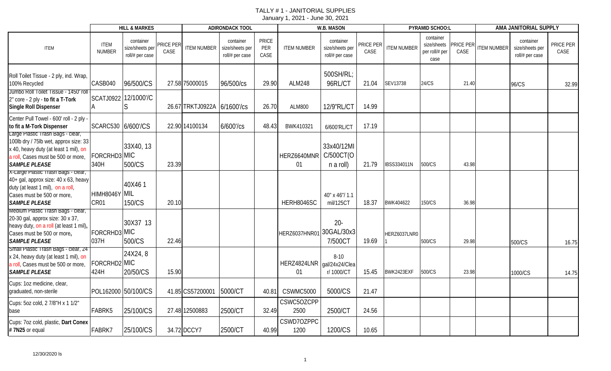|                                                                                                                                                                                   |                                   | <b>HILL &amp; MARKES</b>                        |                   |                             | <b>ADIRONDACK TOOL</b>                          |                             |                                  | W.B. MASON                                      |                   |                    | PYRAMID SCHOO:L                                    |                         |                    | AMA JANITORIAL SUPPLY                           |                          |
|-----------------------------------------------------------------------------------------------------------------------------------------------------------------------------------|-----------------------------------|-------------------------------------------------|-------------------|-----------------------------|-------------------------------------------------|-----------------------------|----------------------------------|-------------------------------------------------|-------------------|--------------------|----------------------------------------------------|-------------------------|--------------------|-------------------------------------------------|--------------------------|
| <b>ITEM</b>                                                                                                                                                                       | <b>ITEM</b><br><b>NUMBER</b>      | container<br>size/sheets per<br>roll/# per case | PRICE PER<br>CASE | <b>ITEM NUMBER</b>          | container<br>size/sheets per<br>roll/# per case | <b>PRICE</b><br>PER<br>CASE | <b>ITEM NUMBER</b>               | container<br>size/sheets per<br>roll/# per case | PRICE PER<br>CASE | <b>ITEM NUMBER</b> | container<br>size/sheets<br>per roll/# per<br>case | <b>RICE PER</b><br>CASE | <b>ITEM NUMBER</b> | container<br>size/sheets per<br>roll/# per case | PRICE PER<br><b>CASE</b> |
| Roll Toilet Tissue - 2 ply, ind. Wrap,<br>100% Recycled                                                                                                                           | CASB040                           | 96/500/CS                                       |                   | 27.58 75000015              | 96/500/cs                                       | 29.90                       | <b>ALM248</b>                    | 500SH/RL;<br>96RL/CT                            | 21.04             | SEV13738           | 24/CS                                              | 21.40                   |                    | <b>96/CS</b>                                    | 32.99                    |
| Jumbo Roll Toilet Tissue - 1450' roll<br>2" core - 2 ply - to fit a T-Tork<br>Single Roll Dispenser                                                                               | SCATJ0922 12/1000'/C              | S                                               |                   | 26.67 TRKTJ0922A 6/1600'/cs |                                                 | 26.70                       | <b>ALM800</b>                    | 12/9"RL/CT                                      | 14.99             |                    |                                                    |                         |                    |                                                 |                          |
| Center Pull Towel - 600' roll - 2 ply -<br>to fit a M-Tork Dispenser                                                                                                              | SCARC530 6/600'/CS                |                                                 |                   | 22.90 14100134              | 6/600'/cs                                       | 48.43                       | BWK410321                        | 6/600'RL/CT                                     | 17.19             |                    |                                                    |                         |                    |                                                 |                          |
| Large Plastic Trash Bags - clear,<br>100lb dry / 75lb wet, approx size: 33<br>x 40, heavy duty (at least 1 mil), on<br>a roll, Cases must be 500 or more,<br><b>SAMPLE PLEASE</b> | FORCRHD3 MIC<br>340H              | 33X40, 13<br>500/CS                             | 23.39             |                             |                                                 |                             | HERZ6640MNR<br>01                | 33x40/12MI<br>C/500CT(O<br>n a roll)            | 21.79             | IBSS334011N        | 500/CS                                             | 43.98                   |                    |                                                 |                          |
| X-Large Plastic Trash Bags - clear,<br>40+ gal, approx size: 40 x 63, heavy<br>duty (at least 1 mil), on a roll,<br>Cases must be 500 or more,<br><b>SAMPLE PLEASE</b>            | HIMH8046Y MIL<br>CR <sub>01</sub> | 40X461<br>150/CS                                | 20.10             |                             |                                                 |                             | HERH8046SC                       | 40" x 46"/ 1.1<br>mil/125CT                     | 18.37             | BWK404622          | 150/CS                                             | 36.98                   |                    |                                                 |                          |
| Medium Plastic Trash Bags - clear,<br>20-30 gal, approx size: 30 x 37,<br>heavy duty, on a roll (at least 1 mil),<br>Cases must be 500 or more,<br><b>SAMPLE PLEASE</b>           | FORCRHD3 MIC<br>037H              | 30X37 13<br>500/CS                              | 22.46             |                             |                                                 |                             | HERZ6037HNR01                    | $20 -$<br>30GAL/30x3<br>7/500CT                 | 19.69             | HERZ6037LNR0       | 500/CS                                             | 29.98                   |                    | 500/CS                                          | 16.75                    |
| Small Plastic Trash Bags - clear, 24<br>x 24, heavy duty (at least 1 mil), on<br>a roll, Cases must be 500 or more,<br><b>SAMPLE PLEASE</b>                                       | FORCRHD2 MIC<br>424H              | 24X24, 8<br>20/50/CS                            | 15.90             |                             |                                                 |                             | HERZ4824LNR gal/24x24/Clea<br>01 | $8 - 10$<br>r/1000/CT                           | 15.45             | BWK2423EXF         | 500/CS                                             | 23.98                   |                    | 1000/CS                                         | 14.75                    |
| Cups: 1oz medicine, clear,<br>graduated, non-sterile                                                                                                                              | POL162000 50/100/CS               |                                                 |                   | 41.85 CS57200001            | 5000/CT                                         | 40.81                       | CSWMC5000                        | 5000/CS                                         | 21.47             |                    |                                                    |                         |                    |                                                 |                          |
| Cups: 5oz cold, 2 7/8"H x 1 1/2"<br>base                                                                                                                                          | FABRK5                            | 25/100/CS                                       |                   | 27.48 12500883              | 2500/CT                                         | 32.49                       | CSWC5OZCPP<br>2500               | 2500/CT                                         | 24.56             |                    |                                                    |                         |                    |                                                 |                          |
| Cups: 7oz cold, plastic, Dart Conex<br>#7N25 or equal                                                                                                                             | FABRK7                            | 25/100/CS                                       |                   | 34.72 DCCY7                 | 2500/CT                                         | 40.99                       | CSWD7OZPPC<br>1200               | 1200/CS                                         | 10.65             |                    |                                                    |                         |                    |                                                 |                          |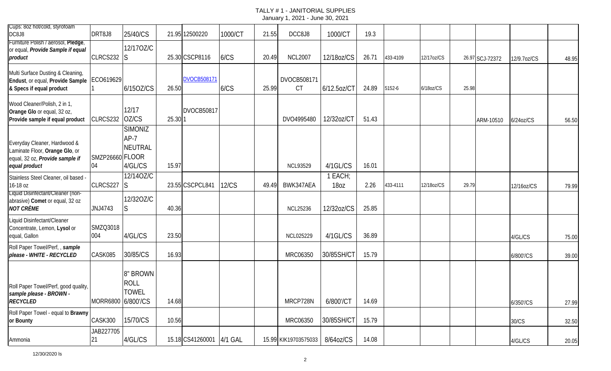| Cups: 8oz hot/cold, styrofoam<br>DC8J8                                                                             | DRT8J8                | 25/40/CS                                       |         | 21.95 12500220     | 1000/CT      | 21.55 | DCC8J8                   | 1000/CT         | 19.3  |          |            |       |                 |                 |       |
|--------------------------------------------------------------------------------------------------------------------|-----------------------|------------------------------------------------|---------|--------------------|--------------|-------|--------------------------|-----------------|-------|----------|------------|-------|-----------------|-----------------|-------|
| Furniture Polish / aerosol, Pledge,<br>or equal, Provide Sample if equal<br>product                                | CLRCS232 S            | 12/170Z/C                                      |         | 25.30 CSCP8116     | 6/CS         | 20.49 | <b>NCL2007</b>           | 12/18oz/CS      | 26.71 | 433-4109 | 12/17oz/CS |       | 26.97 SCJ-72372 | 12/9.7oz/CS     | 48.95 |
| Multi Surface Dusting & Cleaning,<br>Endust, or equal, Provide Sample   ECO619629<br>& Specs if equal product      |                       | 6/150Z/CS                                      | 26.50   | <b>DVOCB508171</b> | 6/CS         | 25.99 | DVOCB508171<br><b>CT</b> | 6/12.5oz/CT     | 24.89 | 5152-6   | 6/18oz/CS  | 25.98 |                 |                 |       |
| Wood Cleaner/Polish, 2 in 1,<br>Orange Glo or equal, 32 oz,<br>Provide sample if equal product                     | CLRCS232              | 12/17<br>OZ/CS                                 | 25.30 1 | <b>DVOCB50817</b>  |              |       | DVO4995480               | 12/32oz/C1      | 51.43 |          |            |       | ARM-10510       | $6/24$ oz $/CS$ | 56.50 |
| Everyday Cleaner, Hardwood &<br>Laminate Floor, Orange Glo, or<br>equal, 32 oz, Provide sample if<br>equal product | SMZP26660 FLOOR<br>04 | <b>SIMONIZ</b><br>$AP-7$<br>NEUTRAL<br>4/GL/CS | 15.97   |                    |              |       | <b>NCL93529</b>          | 4/1GL/CS        | 16.01 |          |            |       |                 |                 |       |
| Stainless Steel Cleaner, oil based -<br>16-18 oz                                                                   | CLRCS227              | 12/14OZ/C<br>S                                 |         | 23.55 CSCPCL841    | <b>12/CS</b> | 49.49 | BWK347AEA                | 1 EACH;<br>18oz | 2.26  | 433-4111 | 12/18oz/CS | 29.79 |                 | 12/16oz/CS      | 79.99 |
| Liquid Disinfectant/Cleaner (non-<br>abrasive) Comet or equal, 32 oz<br><b>NOT CRÈME</b>                           | JNJ4743               | 12/320Z/C<br>S                                 | 40.36   |                    |              |       | <b>NCL25236</b>          | 12/32oz/CS      | 25.85 |          |            |       |                 |                 |       |
| Liquid Disinfectant/Cleaner<br>Concentrate, Lemon, Lysol or<br>equal, Gallon                                       | SMZQ3018<br>004       | 4/GL/CS                                        | 23.50   |                    |              |       | NCL025229                | 4/1GL/CS        | 36.89 |          |            |       |                 | 4/GL/CS         | 75.00 |
| Roll Paper Towel/Perf,, sample<br>please - WHITE - RECYCLED                                                        | CASK085               | 30/85/CS                                       | 16.93   |                    |              |       | MRC06350                 | 30/85SH/CT      | 15.79 |          |            |       |                 | 6/800'/CS       | 39.00 |
| Roll Paper Towel/Perf, good quality,<br>sample please - BROWN -<br><b>RECYCLED</b>                                 | MORR6800 6/800'/CS    | 8" BROWN<br><b>ROLL</b><br><b>TOWEL</b>        | 14.68   |                    |              |       | MRCP728N                 | 6/800'/CT       | 14.69 |          |            |       |                 | 6/350'/CS       | 27.99 |
| Roll Paper Towel - equal to Brawny<br>or Bounty                                                                    | CASK300               | 15/70/CS                                       | 10.56   |                    |              |       | MRC06350                 | 30/85SH/CT      | 15.79 |          |            |       |                 | 30/CS           | 32.50 |
| Ammonia                                                                                                            | JAB227705<br>21       | 4/GL/CS                                        |         | 15.18 CS41260001   | 4/1 GAL      |       | 15.99 KIK19703575033     | 8/64oz/CS       | 14.08 |          |            |       |                 | 4/GL/CS         | 20.05 |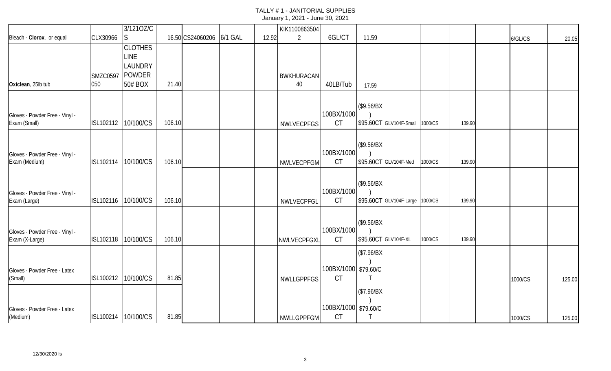|                                                  |                 | 3/1210Z/C           |        |                          |       | KIK1100863504     |                         |             |                                 |         |        |         |        |
|--------------------------------------------------|-----------------|---------------------|--------|--------------------------|-------|-------------------|-------------------------|-------------|---------------------------------|---------|--------|---------|--------|
| Bleach - Clorox, or equal                        | CLX30966        | <sub>S</sub>        |        | 16.50 CS24060206 6/1 GAL | 12.92 | $\overline{2}$    | 6GL/CT                  | 11.59       |                                 |         |        | 6/GL/CS | 20.05  |
|                                                  |                 | <b>CLOTHES</b>      |        |                          |       |                   |                         |             |                                 |         |        |         |        |
|                                                  |                 | LINE                |        |                          |       |                   |                         |             |                                 |         |        |         |        |
|                                                  |                 | LAUNDRY             |        |                          |       |                   |                         |             |                                 |         |        |         |        |
|                                                  | <b>SMZC0597</b> | <b>POWDER</b>       |        |                          |       | <b>BWKHURACAN</b> |                         |             |                                 |         |        |         |        |
| Oxiclean, 25lb tub                               | 050             | 50# BOX             | 21.40  |                          |       | 40                | 40LB/Tub                | 17.59       |                                 |         |        |         |        |
|                                                  |                 |                     |        |                          |       |                   |                         |             |                                 |         |        |         |        |
|                                                  |                 |                     |        |                          |       |                   |                         | (\$9.56/BX) |                                 |         |        |         |        |
| Gloves - Powder Free - Vinyl -                   |                 |                     |        |                          |       |                   | 100BX/1000              |             |                                 |         |        |         |        |
| Exam (Small)                                     | ISL102112       | 10/100/CS           | 106.10 |                          |       | <b>NWLVECPFGS</b> | <b>CT</b>               |             | \$95.60CT GLV104F-Small         | 1000/CS | 139.90 |         |        |
|                                                  |                 |                     |        |                          |       |                   |                         |             |                                 |         |        |         |        |
|                                                  |                 |                     |        |                          |       |                   |                         | (\$9.56/BX) |                                 |         |        |         |        |
| Gloves - Powder Free - Vinyl -                   |                 |                     |        |                          |       |                   | 100BX/1000              |             |                                 |         |        |         |        |
| Exam (Medium)                                    | ISL102114       | 10/100/CS           | 106.10 |                          |       | NWLVECPFGM        | <b>CT</b>               |             | \$95.60CT GLV104F-Med           | 1000/CS | 139.90 |         |        |
|                                                  |                 |                     |        |                          |       |                   |                         |             |                                 |         |        |         |        |
|                                                  |                 |                     |        |                          |       |                   |                         | (\$9.56/BX) |                                 |         |        |         |        |
| Gloves - Powder Free - Vinyl -                   |                 |                     |        |                          |       |                   | 100BX/1000              |             |                                 |         |        |         |        |
| Exam (Large)                                     | ISL102116       | 10/100/CS           | 106.10 |                          |       | NWLVECPFGL        | <b>CT</b>               |             | \$95.60CT GLV104F-Large 1000/CS |         | 139.90 |         |        |
|                                                  |                 |                     |        |                          |       |                   |                         |             |                                 |         |        |         |        |
|                                                  |                 |                     |        |                          |       |                   |                         | (\$9.56/BX) |                                 |         |        |         |        |
| Gloves - Powder Free - Vinyl -<br>Exam (X-Large) | ISL102118       | 10/100/CS           | 106.10 |                          |       |                   | 100BX/1000<br><b>CT</b> |             | \$95.60CT GLV104F-XL            | 1000/CS | 139.90 |         |        |
|                                                  |                 |                     |        |                          |       | NWLVECPFGXL       |                         |             |                                 |         |        |         |        |
|                                                  |                 |                     |        |                          |       |                   |                         | (\$7.96/BX) |                                 |         |        |         |        |
|                                                  |                 |                     |        |                          |       |                   |                         |             |                                 |         |        |         |        |
| Gloves - Powder Free - Latex                     | ISL100212       |                     | 81.85  |                          |       |                   | 100BX/1000 \$79.60/C    |             |                                 |         |        |         |        |
| (Small)                                          |                 | 10/100/CS           |        |                          |       | NWLLGPPFGS        | <b>CT</b>               |             |                                 |         |        | 1000/CS | 125.00 |
|                                                  |                 |                     |        |                          |       |                   |                         | \$7.96/BX   |                                 |         |        |         |        |
|                                                  |                 |                     |        |                          |       |                   |                         |             |                                 |         |        |         |        |
| Gloves - Powder Free - Latex                     |                 |                     |        |                          |       |                   | 100BX/1000 \$79.60/C    |             |                                 |         |        |         |        |
| (Medium)                                         |                 | ISL100214 10/100/CS | 81.85  |                          |       | NWLLGPPFGM        | <b>CT</b>               |             |                                 |         |        | 1000/CS | 125.00 |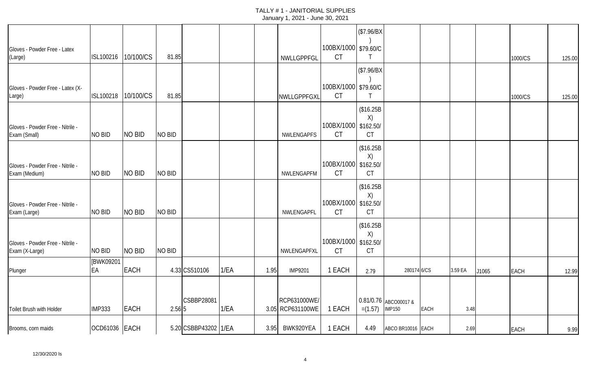|                                                    |               |               |               |                      |      |      |                  |                                   | (\$7.96/BX) |                       |      |         |       |             |        |
|----------------------------------------------------|---------------|---------------|---------------|----------------------|------|------|------------------|-----------------------------------|-------------|-----------------------|------|---------|-------|-------------|--------|
| Gloves - Powder Free - Latex                       |               |               |               |                      |      |      |                  | 100BX/1000 \$79.60/C              |             |                       |      |         |       |             |        |
| (Large)                                            | ISL100216     | 10/100/CS     | 81.85         |                      |      |      | NWLLGPPFGL       | <b>CT</b>                         |             |                       |      |         |       | 1000/CS     | 125.00 |
|                                                    |               |               |               |                      |      |      |                  |                                   | \$7.96/BX   |                       |      |         |       |             |        |
| Gloves - Powder Free - Latex (X-                   |               |               |               |                      |      |      |                  | 100BX/1000 \$79.60/C              |             |                       |      |         |       |             |        |
| Large)                                             | ISL100218     | 10/100/CS     | 81.85         |                      |      |      | NWLLGPPFGXL      | <b>CT</b>                         |             |                       |      |         |       | 1000/CS     | 125.00 |
|                                                    |               |               |               |                      |      |      |                  |                                   | (\$16.25B   |                       |      |         |       |             |        |
|                                                    |               |               |               |                      |      |      |                  | 100BX/1000 \$162.50/              | X)          |                       |      |         |       |             |        |
| Gloves - Powder Free - Nitrile -<br>Exam (Small)   | NO BID        | <b>NO BID</b> | <b>NO BID</b> |                      |      |      | NWLENGAPFS       | <b>CT</b>                         | <b>CT</b>   |                       |      |         |       |             |        |
|                                                    |               |               |               |                      |      |      |                  |                                   | (\$16.25B   |                       |      |         |       |             |        |
|                                                    |               |               |               |                      |      |      |                  |                                   | X)          |                       |      |         |       |             |        |
| Gloves - Powder Free - Nitrile -<br>Exam (Medium)  | NO BID        | <b>NO BID</b> | NO BID        |                      |      |      | NWLENGAPFM       | 100BX/1000 \$162.50/<br><b>CT</b> | <b>CT</b>   |                       |      |         |       |             |        |
|                                                    |               |               |               |                      |      |      |                  |                                   | (\$16.25B   |                       |      |         |       |             |        |
|                                                    |               |               |               |                      |      |      |                  |                                   | X)          |                       |      |         |       |             |        |
| Gloves - Powder Free - Nitrile -<br>Exam (Large)   | NO BID        | <b>NO BID</b> | NO BID        |                      |      |      | NWLENGAPFL       | 100BX/1000 \$162.50/<br><b>CT</b> | <b>CT</b>   |                       |      |         |       |             |        |
|                                                    |               |               |               |                      |      |      |                  |                                   | \$16.25B    |                       |      |         |       |             |        |
|                                                    |               |               |               |                      |      |      |                  |                                   | X)          |                       |      |         |       |             |        |
| Gloves - Powder Free - Nitrile -<br>Exam (X-Large) | NO BID        | <b>NO BID</b> | <b>NO BID</b> |                      |      |      | NWLENGAPFXL      | 100BX/1000 \$162.50/<br><b>CT</b> | <b>CT</b>   |                       |      |         |       |             |        |
|                                                    | [BWK09201     |               |               |                      |      |      |                  |                                   |             |                       |      |         |       |             |        |
| Plunger                                            | EA            | <b>EACH</b>   |               | 4.33 CS510106        | 1/EA | 1.95 | <b>IMP9201</b>   | 1 EACH                            | 2.79        | 280174 6/CS           |      | 3.59 EA | J1065 | <b>EACH</b> | 12.99  |
|                                                    |               |               |               |                      |      |      |                  |                                   |             |                       |      |         |       |             |        |
|                                                    |               |               |               | CSBBP28081           |      |      | RCP631000WE/     |                                   |             | 0.81/0.76 ABCO00017 & |      |         |       |             |        |
| Toilet Brush with Holder                           | <b>IMP333</b> | <b>EACH</b>   | 2.56 5        |                      | 1/EA |      | 3.05 RCP631100WE | 1 EACH                            | $=(1.57)$   | <b>IMP150</b>         | EACH | 3.48    |       |             |        |
|                                                    |               |               |               |                      |      |      |                  |                                   |             |                       |      |         |       |             |        |
| Brooms, corn maids                                 | OCD61036 EACH |               |               | 5.20 CSBBP43202 1/EA |      | 3.95 | BWK920YEA        | 1 EACH                            | 4.49        | ABCO BR10016 EACH     |      | 2.69    |       | <b>EACH</b> | 9.99   |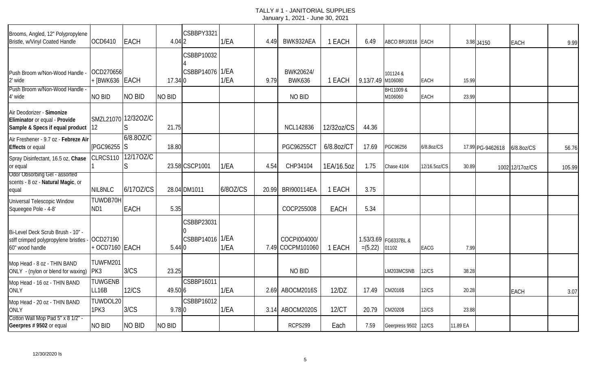| Brooms, Angled, 12" Polypropylene<br>Bristle, w/Vinyl Coated Handle                           | OCD6410                             | <b>EACH</b>   | 4.042   | CSBBPY3321                    | 1/EA     | 4.49  | BWK932AEA                        | 1 EACH      | 6.49              | ABCO BR10016 EACH             |              |          | 3.98 J4150       | <b>EACH</b>      | 9.99   |
|-----------------------------------------------------------------------------------------------|-------------------------------------|---------------|---------|-------------------------------|----------|-------|----------------------------------|-------------|-------------------|-------------------------------|--------------|----------|------------------|------------------|--------|
|                                                                                               |                                     |               |         | CSBBP10032                    |          |       |                                  |             |                   |                               |              |          |                  |                  |        |
| Push Broom w/Non-Wood Handle -<br>2' wide                                                     | OCD270656<br>+ [BWK636 EACH         |               | 17.34 0 | CSBBP14076 1/EA               | 1/EA     | 9.79  | BWK20624/<br><b>BWK636</b>       | 1 EACH      | 9.13/7.49 M106080 | 101124 &                      | <b>EACH</b>  | 15.99    |                  |                  |        |
| Push Broom w/Non-Wood Handle -<br>4' wide                                                     | NO BID                              | NO BID        | NO BID  |                               |          |       | NO BID                           |             |                   | BH11009 &<br>M106060          | EACH         | 23.99    |                  |                  |        |
| Air Deodorizer - Simonize<br>Eliminator or equal - Provide<br>Sample & Specs if equal product | SMZL21070 12/32OZ/C<br>$ 12\rangle$ |               | 21.75   |                               |          |       | <b>NCL142836</b>                 | 12/32oz/CS  | 44.36             |                               |              |          |                  |                  |        |
| Air Freshener - 9.7 oz - Febreze Air<br><b>Effects</b> or equal                               | [PGC96255 S                         | 6/8.80Z/C     | 18.80   |                               |          |       | PGC96255C1                       | 6/8.8oz/CT  | 17.69             | PGC96256                      | 6/8.8oz/CS   |          | 17.99 PG-9462618 | 6/8.8oz/CS       | 56.76  |
| Spray Disinfectant, 16.5 oz, Chase<br>or equal                                                | CLRCS110                            | 12/170Z/C     |         | 23.58 CSCP1001                | 1/EA     | 4.54  | CHP34104                         | 1EA/16.5oz  | 1.75              | Chase 4104                    | 12/16.5oz/CS | 30.89    |                  | 1002 12/17 oz/CS | 105.99 |
| Odor Obsorbing Gel - assorted<br>scents - 8 oz - Natural Magic, or<br>equal                   | NIL8NLC                             | 6/170Z/CS     |         | 28.04 DM1011                  | 6/80Z/CS | 20.99 | <b>BRI900114EA</b>               | 1 EACH      | 3.75              |                               |              |          |                  |                  |        |
| Universal Telescopic Window<br>Squeegee Pole - 4-8'                                           | TUWDB70H<br>ND <sub>1</sub>         | <b>EACH</b>   | 5.35    |                               |          |       | COCP255008                       | <b>EACH</b> | 5.34              |                               |              |          |                  |                  |        |
| Bi-Level Deck Scrub Brush - 10" -<br>stiff crimped polypropylene bristles<br>60" wood handle  | OCD27190<br>+ OCD7160 EACH          |               | 5.440   | CSBBP23031<br>CSBBP14016 1/EA | 1/EA     |       | COCPI004000/<br>7.49 COCPM101060 | 1 EACH      | $=(5.22)$         | 1.53/3.69 FG6337BL &<br>01102 | EACG         | 7.99     |                  |                  |        |
| Mop Head - 8 oz - THIN BAND<br>ONLY - (nylon or blend for waxing) PK3                         | TUWFM201                            | 3/CS          | 23.25   |                               |          |       | NO BID                           |             |                   | LM203MCSNB                    | 12/CS        | 38.28    |                  |                  |        |
| Mop Head - 16 oz - THIN BAND<br><b>ONLY</b>                                                   | TUWGENB<br>LL16B                    | <b>12/CS</b>  | 49.50 6 | CSBBP16011                    | 1/EA     | 2.69  | ABOCM2016S                       | 12/DZ       | 17.49             | CM2016\$                      | <b>12/CS</b> | 20.28    |                  | <b>EACH</b>      | 3.07   |
| Mop Head - 20 oz - THIN BAND<br><b>ONLY</b>                                                   | TUWDOL20<br>1PK3                    | 3/CS          | 9.780   | CSBBP16012                    | 1/EA     |       | 3.14 ABOCM2020S                  | 12/CT       | 20.79             | CM2020\$                      | <b>12/CS</b> | 23.88    |                  |                  |        |
| Cotton Wall Mop Pad 5" x 8 1/2" -<br>Geerpres #9502 or equal                                  | NO BID                              | <b>NO BID</b> | NO BID  |                               |          |       | RCPS299                          | Each        | 7.59              | Geerpress 9502 12/CS          |              | 11.89 EA |                  |                  |        |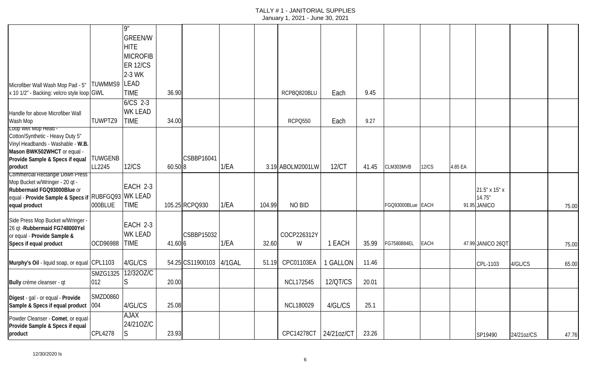|                                                                        |                     | $\overline{9}$  |         |                  |        |        |                  |            |       |                   |              |         |                   |            |       |
|------------------------------------------------------------------------|---------------------|-----------------|---------|------------------|--------|--------|------------------|------------|-------|-------------------|--------------|---------|-------------------|------------|-------|
|                                                                        |                     | <b>GREEN/W</b>  |         |                  |        |        |                  |            |       |                   |              |         |                   |            |       |
|                                                                        |                     | <b>HITE</b>     |         |                  |        |        |                  |            |       |                   |              |         |                   |            |       |
|                                                                        |                     | <b>MICROFIB</b> |         |                  |        |        |                  |            |       |                   |              |         |                   |            |       |
|                                                                        |                     | <b>ER 12/CS</b> |         |                  |        |        |                  |            |       |                   |              |         |                   |            |       |
|                                                                        |                     | 2-3 WK          |         |                  |        |        |                  |            |       |                   |              |         |                   |            |       |
| Microfiber Wall Wash Mop Pad - 5"                                      | <b>TUWMMS9 LEAD</b> |                 |         |                  |        |        |                  |            |       |                   |              |         |                   |            |       |
| x 10 1/2" - Backing: velcro style loop GWL                             |                     | <b>TIME</b>     | 36.90   |                  |        |        | RCPBQ820BLU      | Each       | 9.45  |                   |              |         |                   |            |       |
|                                                                        |                     | $6/CS$ 2-3      |         |                  |        |        |                  |            |       |                   |              |         |                   |            |       |
| Handle for above Microfiber Wall                                       |                     | <b>WK LEAD</b>  |         |                  |        |        |                  |            |       |                   |              |         |                   |            |       |
| Wash Mop<br>Loop Wet Mop Head -                                        | TUWPTZ9             | <b>TIME</b>     | 34.00   |                  |        |        | <b>RCPQ550</b>   | Each       | 9.27  |                   |              |         |                   |            |       |
| Cotton/Synthetic - Heavy Duty 5"                                       |                     |                 |         |                  |        |        |                  |            |       |                   |              |         |                   |            |       |
| Vinyl Headbands - Washable - W.B.                                      |                     |                 |         |                  |        |        |                  |            |       |                   |              |         |                   |            |       |
| Mason BWK502WHCT or equal -                                            |                     |                 |         |                  |        |        |                  |            |       |                   |              |         |                   |            |       |
| Provide Sample & Specs if equal                                        | <b>TUWGENB</b>      |                 |         | CSBBP16041       |        |        |                  |            |       |                   |              |         |                   |            |       |
| product<br>Commercial Rectangle Down Press                             | LL2245              | <b>12/CS</b>    | 60.50 8 |                  | 1/EA   |        | 3.19 ABOLM2001LW | 12/CT      | 41.45 | CLM303MVB         | <b>12/CS</b> | 4.85 EA |                   |            |       |
| Mop Bucket w/Wringer - 20 qt -                                         |                     |                 |         |                  |        |        |                  |            |       |                   |              |         |                   |            |       |
| Rubbermaid FGQ93000Blue or                                             |                     | EACH 2-3        |         |                  |        |        |                  |            |       |                   |              |         | 21.5" x 15" x     |            |       |
| equal - Provide Sample & Specs if RUBFGQ93 WK LEAD                     |                     |                 |         |                  |        |        |                  |            |       |                   |              |         | 14.75"            |            |       |
| equal product                                                          | 000BLUE             | <b>TIME</b>     |         | 105.25 RCPQ930   | 1/EA   | 104.99 | NO BID           |            |       | FGQ93000BLue EACH |              |         | 91.95 JANICO      |            | 75.00 |
| Side Press Mop Bucket w/Wringer -                                      |                     |                 |         |                  |        |        |                  |            |       |                   |              |         |                   |            |       |
| 26 qt - Rubbermaid FG748000Yel                                         |                     | EACH 2-3        |         |                  |        |        |                  |            |       |                   |              |         |                   |            |       |
| or equal - Provide Sample &                                            |                     | <b>WK LEAD</b>  |         | CSBBP15032       |        |        | COCP226312Y      |            |       |                   |              |         |                   |            |       |
| Specs if equal product                                                 | OCD96988            | <b>TIME</b>     | 41.60 6 |                  | 1/EA   | 32.60  | W                | 1 EACH     | 35.99 | FG7580884EL       | <b>EACH</b>  |         | 47.99 JANICO 26QT |            | 75.00 |
|                                                                        |                     |                 |         |                  |        |        |                  |            |       |                   |              |         |                   |            |       |
| Murphy's Oil - liquid soap, or equal CPL1103                           |                     | 4/GL/CS         |         | 54.25 CS11900103 | 4/1GAL | 51.19  | CPC01103EA       | 1 GALLON   | 11.46 |                   |              |         | CPL-1103          | 4/GL/CS    | 65.00 |
|                                                                        | <b>SMZG1325</b>     | 12/320Z/C       |         |                  |        |        |                  |            |       |                   |              |         |                   |            |       |
| Bully crème cleanser - qt                                              | 012                 | ls.             | 20.00   |                  |        |        | <b>NCL172545</b> | 12/QT/CS   | 20.01 |                   |              |         |                   |            |       |
| Digest - gal - or equal - Provide                                      | <b>SMZD0860</b>     |                 |         |                  |        |        |                  |            |       |                   |              |         |                   |            |       |
| Sample & Specs if equal product                                        | 004                 | 4/GL/CS         | 25.08   |                  |        |        | <b>NCL180029</b> | 4/GL/CS    | 25.1  |                   |              |         |                   |            |       |
|                                                                        |                     | <b>AJAX</b>     |         |                  |        |        |                  |            |       |                   |              |         |                   |            |       |
| Powder Cleanser - Comet, or equal -<br>Provide Sample & Specs if equal |                     | 24/210Z/C       |         |                  |        |        |                  |            |       |                   |              |         |                   |            |       |
| product                                                                | <b>CPL4278</b>      | S.              | 23.93   |                  |        |        | CPC14278CT       | 24/21oz/CT | 23.26 |                   |              |         | SP19490           | 24/21oz/CS | 47.76 |
|                                                                        |                     |                 |         |                  |        |        |                  |            |       |                   |              |         |                   |            |       |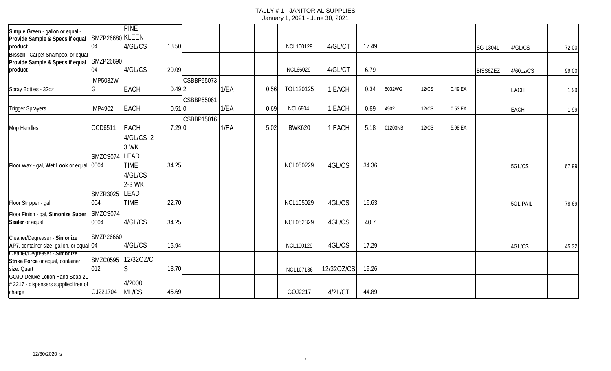| Simple Green - gallon or equal -<br>Provide Sample & Specs if equal | SMZP26680 KLEEN | <b>PINE</b> |                     |            |      |      |                  |            |       |         |              |         |                 |                 |       |
|---------------------------------------------------------------------|-----------------|-------------|---------------------|------------|------|------|------------------|------------|-------|---------|--------------|---------|-----------------|-----------------|-------|
| product                                                             | 04              | 4/GL/CS     | 18.50               |            |      |      | NCL100129        | 4/GL/CT    | 17.49 |         |              |         | SG-13041        | 4/GL/CS         | 72.00 |
| Bissell - Carpet Shampoo, or equal                                  | SMZP26690       |             |                     |            |      |      |                  |            |       |         |              |         |                 |                 |       |
| Provide Sample & Specs if equal                                     | 04              | 4/GL/CS     | 20.09               |            |      |      |                  | 4/GL/CT    | 6.79  |         |              |         |                 |                 |       |
| product                                                             |                 |             |                     |            |      |      | <b>NCL66029</b>  |            |       |         |              |         | <b>BISS6ZEZ</b> | 4/60oz/CS       | 99.00 |
|                                                                     | <b>IMP5032W</b> |             |                     | CSBBP55073 |      |      |                  |            |       |         |              |         |                 |                 |       |
| Spray Bottles - 32oz                                                | G               | <b>EACH</b> | 0.492               |            | 1/EA | 0.56 | TOL120125        | 1 EACH     | 0.34  | 5032WG  | <b>12/CS</b> | 0.49 EA |                 | EACH            | 1.99  |
|                                                                     |                 |             |                     | CSBBP55061 |      |      |                  |            |       |         |              |         |                 |                 |       |
| <b>Trigger Sprayers</b>                                             | <b>IMP4902</b>  | <b>EACH</b> | $0.51$ <sub>0</sub> |            | 1/EA | 0.69 | <b>NCL6804</b>   | 1 EACH     | 0.69  | 4902    | <b>12/CS</b> | 0.53 EA |                 | <b>EACH</b>     | 1.99  |
|                                                                     |                 |             |                     | CSBBP15016 |      |      |                  |            |       |         |              |         |                 |                 |       |
| Mop Handles                                                         | OCD6511         | <b>EACH</b> | $7.29$ 0            |            | 1/EA | 5.02 | <b>BWK620</b>    | 1 EACH     | 5.18  | 01203NB | <b>12/CS</b> | 5.98 EA |                 |                 |       |
|                                                                     |                 | 4/GL/CS 2-  |                     |            |      |      |                  |            |       |         |              |         |                 |                 |       |
|                                                                     |                 | 3 WK        |                     |            |      |      |                  |            |       |         |              |         |                 |                 |       |
|                                                                     |                 | LEAD        |                     |            |      |      |                  |            |       |         |              |         |                 |                 |       |
|                                                                     | SMZCS074        |             |                     |            |      |      |                  |            |       |         |              |         |                 |                 |       |
| Floor Wax - gal, Wet Look or equal 0004                             |                 | <b>TIME</b> | 34.25               |            |      |      | <b>NCL050229</b> | 4GL/CS     | 34.36 |         |              |         |                 | 5GL/CS          | 67.99 |
|                                                                     |                 | 4/GL/CS     |                     |            |      |      |                  |            |       |         |              |         |                 |                 |       |
|                                                                     |                 | 2-3 WK      |                     |            |      |      |                  |            |       |         |              |         |                 |                 |       |
|                                                                     | <b>SMZR3025</b> | <b>LEAD</b> |                     |            |      |      |                  |            |       |         |              |         |                 |                 |       |
| Floor Stripper - gal                                                | 004             | <b>TIME</b> | 22.70               |            |      |      | <b>NCL105029</b> | 4GL/CS     | 16.63 |         |              |         |                 | <b>5GL PAIL</b> | 78.69 |
| Floor Finish - gal, Simonize Super                                  | SMZCS074        |             |                     |            |      |      |                  |            |       |         |              |         |                 |                 |       |
| Sealer or equal                                                     | 0004            | 4/GL/CS     | 34.25               |            |      |      | <b>NCL052329</b> | 4GL/CS     | 40.7  |         |              |         |                 |                 |       |
|                                                                     |                 |             |                     |            |      |      |                  |            |       |         |              |         |                 |                 |       |
| Cleaner/Degreaser - Simonize                                        | SMZP26660       |             |                     |            |      |      |                  |            |       |         |              |         |                 |                 |       |
| AP7, container size: gallon, or equal 04                            |                 | 4/GL/CS     | 15.94               |            |      |      | NCL100129        | 4GL/CS     | 17.29 |         |              |         |                 | 4GL/CS          | 45.32 |
| Cleaner/Degreaser - Simonize                                        |                 |             |                     |            |      |      |                  |            |       |         |              |         |                 |                 |       |
| Strike Force or equal, container                                    | <b>SMZC0595</b> | 12/320Z/C   |                     |            |      |      |                  |            |       |         |              |         |                 |                 |       |
| size: Quart                                                         | 012             | S           | 18.70               |            |      |      | NCL107136        | 12/320Z/CS | 19.26 |         |              |         |                 |                 |       |
| <b>GOJO Deluxe Lotion Hand Soap 2L</b>                              |                 |             |                     |            |      |      |                  |            |       |         |              |         |                 |                 |       |
| #2217 - dispensers supplied free of                                 |                 | 4/2000      |                     |            |      |      |                  |            |       |         |              |         |                 |                 |       |
| charge                                                              | GJ221704        | ML/CS       | 45.69               |            |      |      | GOJ2217          | 4/2L/CT    | 44.89 |         |              |         |                 |                 |       |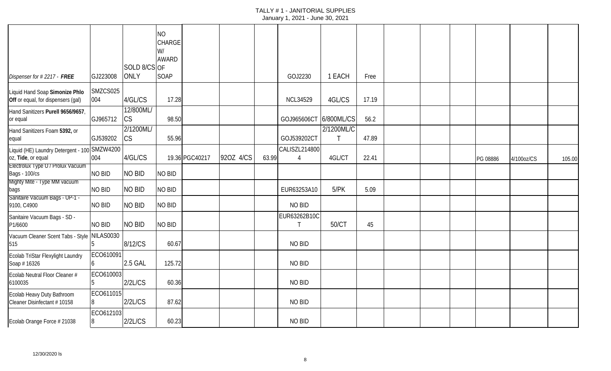|                                                                      |                  | SOLD 8/CS OF    | <b>NO</b><br>CHARGE<br>W/<br><b>AWARD</b> |                |           |       |                                 |                 |       |  |          |            |        |
|----------------------------------------------------------------------|------------------|-----------------|-------------------------------------------|----------------|-----------|-------|---------------------------------|-----------------|-------|--|----------|------------|--------|
| Dispenser for #2217 - FREE                                           | GJ223008         | <b>ONLY</b>     | SOAP                                      |                |           |       | GOJ2230                         | 1 EACH          | Free  |  |          |            |        |
| Liquid Hand Soap Simonize Phlo<br>Off or equal, for dispensers (gal) | SMZCS025<br>004  | 4/GL/CS         | 17.28                                     |                |           |       | <b>NCL34529</b>                 | 4GL/CS          | 17.19 |  |          |            |        |
| Hand Sanitizers Purell 9656/9657,<br>or equal                        | GJ965712         | 12/800ML/<br>CS | 98.50                                     |                |           |       | GOJ965606CT                     | 6/800ML/CS      | 56.2  |  |          |            |        |
| Hand Sanitizers Foam 5392, or<br>equal                               | GJ539202         | 2/1200ML/<br>CS | 55.96                                     |                |           |       | GOJ539202CT                     | 2/1200ML/C<br>Т | 47.89 |  |          |            |        |
| Liquid (HE) Laundry Detergent - 100 SMZW4200<br>oz, Tide, or equal   | 004              | 4/GL/CS         |                                           | 19.36 PGC40217 | 920Z 4/CS | 63.99 | CALISZL214800<br>$\overline{4}$ | 4GL/CT          | 22.41 |  | PG 08886 | 4/100oz/CS | 105.00 |
| Electrolux Type U / Prolux Vacuum<br><b>Bags - 100/cs</b>            | <b>NO BID</b>    | <b>NO BID</b>   | <b>NO BID</b>                             |                |           |       |                                 |                 |       |  |          |            |        |
| Mighty Mite - Type MM vacuum<br>bags                                 | NO BID           | <b>NO BID</b>   | <b>NO BID</b>                             |                |           |       | EUR63253A10                     | 5/PK            | 5.09  |  |          |            |        |
| Sanitaire Vacuum Bags - UP-1 -<br>9100, C4900                        | NO BID           | <b>NO BID</b>   | <b>NO BID</b>                             |                |           |       | NO BID                          |                 |       |  |          |            |        |
| Sanitaire Vacuum Bags - SD -<br>P1/6600                              | NO BID           | <b>NO BID</b>   | NO BID                                    |                |           |       | EUR63262B10C<br>T               | 50/CT           | 45    |  |          |            |        |
| Vacuum Cleaner Scent Tabs - Style<br>515                             | <b>NILAS0030</b> | 8/12/CS         | 60.67                                     |                |           |       | NO BID                          |                 |       |  |          |            |        |
| Ecolab TriStar Flexylight Laundry<br>Soap #16326                     | ECO610091        | 2.5 GAL         | 125.72                                    |                |           |       | NO BID                          |                 |       |  |          |            |        |
| Ecolab Neutral Floor Cleaner #<br>6100035                            | ECO610003        | 2/2L/CS         | 60.36                                     |                |           |       | NO BID                          |                 |       |  |          |            |        |
| Ecolab Heavy Duty Bathroom<br>Cleaner Disinfectant #10158            | ECO611015        | 2/2L/CS         | 87.62                                     |                |           |       | NO BID                          |                 |       |  |          |            |        |
| Ecolab Orange Force # 21038                                          | ECO612103        | 2/2L/CS         | 60.23                                     |                |           |       | NO BID                          |                 |       |  |          |            |        |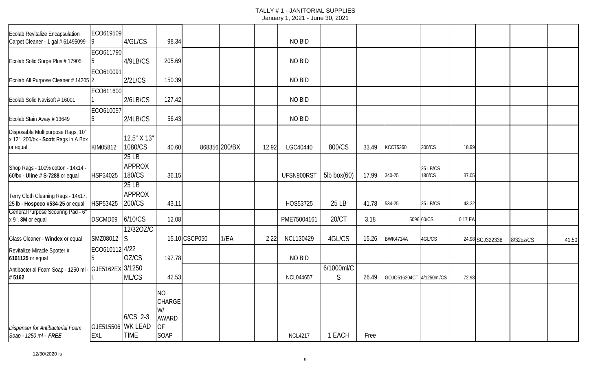| Ecolab Revitalize Encapsulation<br>Carpet Cleaner - 1 gal # 61495099                 | ECO619509<br>19                        | 4/GL/CS                          | 98.34                                                   |               |               |       | NO BID           |                   |       |                          |                    |         |                 |           |       |
|--------------------------------------------------------------------------------------|----------------------------------------|----------------------------------|---------------------------------------------------------|---------------|---------------|-------|------------------|-------------------|-------|--------------------------|--------------------|---------|-----------------|-----------|-------|
|                                                                                      | ECO611790                              |                                  |                                                         |               |               |       |                  |                   |       |                          |                    |         |                 |           |       |
| Ecolab Solid Surge Plus #17905                                                       | 15.                                    | 4/9LB/CS                         | 205.69                                                  |               |               |       | NO BID           |                   |       |                          |                    |         |                 |           |       |
| Ecolab All Purpose Cleaner # 14205 2                                                 | ECO610091                              | 2/2L/CS                          | 150.39                                                  |               |               |       | NO BID           |                   |       |                          |                    |         |                 |           |       |
|                                                                                      | ECO611600                              |                                  |                                                         |               |               |       |                  |                   |       |                          |                    |         |                 |           |       |
| Ecolab Solid Navisoft #16001                                                         |                                        | 2/6LB/CS                         | 127.42                                                  |               |               |       | NO BID           |                   |       |                          |                    |         |                 |           |       |
| Ecolab Stain Away #13649                                                             | ECO610097<br>15                        | 2/4LB/CS                         | 56.43                                                   |               |               |       | NO BID           |                   |       |                          |                    |         |                 |           |       |
| Disposable Multipurpose Rags, 10"<br>x 12", 200/bx - Scott Rags In A Box<br>or equal | KIM05812                               | 12.5" X 13"<br>1080/CS           | 40.60                                                   |               | 868356 200/BX | 12.92 | LGC40440         | 800/CS            | 33.49 | KCC75260                 | 200/CS             | 18.99   |                 |           |       |
| Shop Rags - 100% cotton - 14x14 -<br>60/bx - Uline # S-7288 or equal                 | HSP34025                               | 25 LB<br><b>APPROX</b><br>180/CS | 36.15                                                   |               |               |       | UFSN900RS1       | $5$ lb box $(60)$ | 17.99 | 340-25                   | 25 LB/CS<br>180/CS | 37.05   |                 |           |       |
| Terry Cloth Cleaning Rags - 14x17,<br>25 lb - Hospeco #534-25 or equal               | HSP53425                               | 25 LB<br><b>APPROX</b><br>200/CS | 43.11                                                   |               |               |       | HOS53725         | 25 LB             | 41.78 | 534-25                   | 25 LB/CS           | 43.22   |                 |           |       |
| General Purpose Scouring Pad - 6"<br>x 9", 3M or equal                               | DSCMD69                                | 6/10/CS                          | 12.08                                                   |               |               |       | PME75004161      | 20/CT             | 3.18  |                          | 5096 60/CS         | 0.17 EA |                 |           |       |
| Glass Cleaner - Windex or equal                                                      | SMZ08012                               | 12/320Z/C<br><sub>IS</sub>       |                                                         | 15.10 CSCP050 | 1/EA          | 2.22  | <b>NCL130429</b> | 4GL/CS            | 15.26 | <b>BWK4714A</b>          | 4GL/CS             |         | 24.98 SCJ322338 | 8/32oz/CS | 41.50 |
| Revitalize Miracle Spotter #<br>6101125 or equal                                     | ECO610112 4/22                         | OZ/CS                            | 197.78                                                  |               |               |       | NO BID           |                   |       |                          |                    |         |                 |           |       |
| Antibacterial Foam Soap - 1250 ml<br>#5162                                           | GJE5162EX 3/1250                       | ML/CS                            | 42.53                                                   |               |               |       | <b>NCL044657</b> | 6/1000ml/C<br>S   | 26.49 | GOJO516204CT 4/1250ml/CS |                    | 72.98   |                 |           |       |
| <b>Dispenser for Antibacterial Foam</b><br>Soap - 1250 ml - FREE                     | <b>GJE515506 WK LEAD</b><br><b>EXL</b> | 6/CS 2-3<br><b>TIME</b>          | <b>NO</b><br>CHARGE<br>W/<br><b>AWARD</b><br>ОF<br>SOAP |               |               |       | <b>NCL4217</b>   | 1 EACH            | Free  |                          |                    |         |                 |           |       |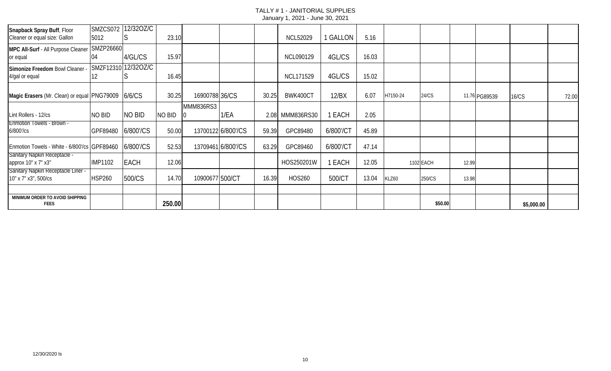| Snapback Spray Buff, Floor                     | SMZCS072       | 12/320Z/C           |               |                 |                    |       |                  |           |       |          |           |       |               |            |       |
|------------------------------------------------|----------------|---------------------|---------------|-----------------|--------------------|-------|------------------|-----------|-------|----------|-----------|-------|---------------|------------|-------|
| Cleaner or equal size: Gallon                  | 5012           |                     | 23.10         |                 |                    |       | <b>NCL52029</b>  | I GALLON  | 5.16  |          |           |       |               |            |       |
| MPC All-Surf - All Purpose Cleaner SMZP26660   |                |                     |               |                 |                    |       |                  |           |       |          |           |       |               |            |       |
| or equal                                       |                | 4/GL/CS             | 15.97         |                 |                    |       | <b>NCL090129</b> | 4GL/CS    | 16.03 |          |           |       |               |            |       |
| Simonize Freedom Bowl Cleaner                  |                | SMZF12310 12/32OZ/C |               |                 |                    |       |                  |           |       |          |           |       |               |            |       |
| 4/gal or equal                                 | 12.            |                     | 16.45         |                 |                    |       | <b>NCL171529</b> | 4GL/CS    | 15.02 |          |           |       |               |            |       |
|                                                |                |                     |               |                 |                    |       |                  |           |       |          |           |       |               |            |       |
| Magic Erasers (Mr. Clean) or equal PNG79009    |                | 6/6/CS              | 30.25         | 16900788 36/CS  |                    | 30.25 | BWK400CT         | 12/BX     | 6.07  | H7150-24 | 24/CS     |       | 11.76 PG89539 | 16/CS      | 72.00 |
|                                                |                |                     |               | MMM836RS3       |                    |       |                  |           |       |          |           |       |               |            |       |
| Lint Rollers - 12/cs                           | no bid         | <b>NO BID</b>       | <b>NO BID</b> |                 | 1/EA               | 2.08  | MMM836RS30       | 1 EACH    | 2.05  |          |           |       |               |            |       |
| <b>Enmotion Towels - Brown -</b>               |                |                     |               |                 |                    |       |                  |           |       |          |           |       |               |            |       |
| 6/800'/cs                                      | GPF89480       | 6/800'/CS           | 50.00         |                 | 13700122 6/800'/CS | 59.39 | GPC89480         | 6/800'/CT | 45.89 |          |           |       |               |            |       |
| Enmotion Towels - White - 6/800'/cs GPF89460   |                | 6/800'/CS           | 52.53         |                 | 13709461 6/800'/CS | 63.29 | GPC89460         | 6/800'/CT | 47.14 |          |           |       |               |            |       |
| <b>Sanitary Napkin Receptacle -</b>            |                |                     |               |                 |                    |       |                  |           |       |          |           |       |               |            |       |
| арргох 10" х 7" х3"                            | <b>IMP1102</b> | <b>EACH</b>         | 12.06         |                 |                    |       | HOS250201W       | 1 EACH    | 12.05 |          | 1102 EACH | 12.99 |               |            |       |
| Sanitary Napkin Receptacle Liner -             |                |                     |               |                 |                    |       |                  |           |       |          |           |       |               |            |       |
| 10" x 7" x3", 500/cs                           | <b>HSP260</b>  | 500/CS              | 14.70         | 10900677 500/CT |                    | 16.39 | <b>HOS260</b>    | 500/CT    | 13.04 | KLZ60    | 250/CS    | 13.98 |               |            |       |
|                                                |                |                     |               |                 |                    |       |                  |           |       |          |           |       |               |            |       |
| MINIMUM ORDER TO AVOID SHIPPING<br><b>FEES</b> |                |                     | 250.00        |                 |                    |       |                  |           |       |          | \$50.00   |       |               | \$5,000.00 |       |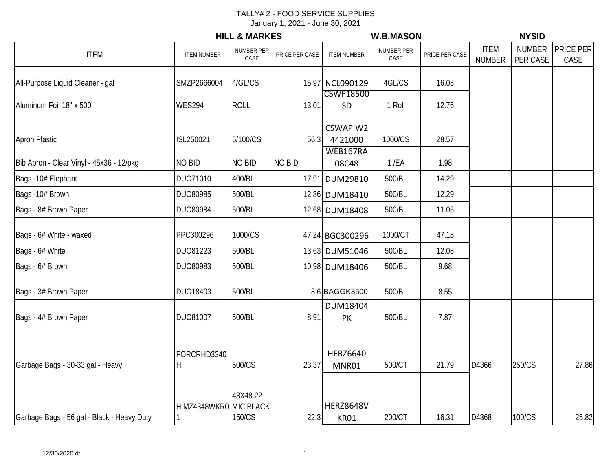|                                            |                        | <b>HILL &amp; MARKES</b>  |                |                                 | <b>W.B.MASON</b>   |                |                              | <b>NYSID</b>              |                   |
|--------------------------------------------|------------------------|---------------------------|----------------|---------------------------------|--------------------|----------------|------------------------------|---------------------------|-------------------|
| <b>ITEM</b>                                | <b>ITEM NUMBER</b>     | <b>NUMBER PER</b><br>CASE | PRICE PER CASE | <b>ITEM NUMBER</b>              | NUMBER PER<br>CASE | PRICE PER CASE | <b>ITEM</b><br><b>NUMBER</b> | <b>NUMBER</b><br>PER CASE | PRICE PER<br>CASE |
| All-Purpose Liquid Cleaner - gal           | SMZP2666004            | 4/GL/CS                   |                | 15.97 NCL090129                 | 4GL/CS             | 16.03          |                              |                           |                   |
| Aluminum Foil 18" x 500'                   | <b>WES294</b>          | <b>ROLL</b>               | 13.01          | <b>CSWF18500</b><br>SD          | 1 Roll             | 12.76          |                              |                           |                   |
| <b>Apron Plastic</b>                       | ISL250021              | 5/100/CS                  | 56.3           | CSWAPIW2<br>4421000             | 1000/CS            | 28.57          |                              |                           |                   |
| Bib Apron - Clear Vinyl - 45x36 - 12/pkg   | NO BID                 | NO BID                    | <b>NO BID</b>  | WEB167RA<br>08C48               | $1$ /EA            | 1.98           |                              |                           |                   |
| Bags -10# Elephant                         | DUO71010               | 400/BL                    |                | 17.91 DUM29810                  | 500/BL             | 14.29          |                              |                           |                   |
| Bags -10# Brown                            | DUO80985               | 500/BL                    |                | 12.86 DUM18410                  | 500/BL             | 12.29          |                              |                           |                   |
| Bags - 8# Brown Paper                      | DUO80984               | 500/BL                    |                | 12.68 DUM18408                  | 500/BL             | 11.05          |                              |                           |                   |
| Bags - 6# White - waxed                    | PPC300296              | 1000/CS                   |                | 47.24 BGC300296                 | 1000/CT            | 47.18          |                              |                           |                   |
| Bags - 6# White                            | DUO81223               | 500/BL                    |                | 13.63 DUM51046                  | 500/BL             | 12.08          |                              |                           |                   |
| Bags - 6# Brown                            | DUO80983               | 500/BL                    |                | 10.98 DUM18406                  | 500/BL             | 9.68           |                              |                           |                   |
| Bags - 3# Brown Paper                      | DUO18403               | 500/BL                    |                | 8.6 BAGGK3500                   | 500/BL             | 8.55           |                              |                           |                   |
| Bags - 4# Brown Paper                      | DUO81007               | 500/BL                    | 8.91           | DUM18404<br>PK                  | 500/BL             | 7.87           |                              |                           |                   |
| Garbage Bags - 30-33 gal - Heavy           | FORCRHD3340<br>ΙH      | 500/CS                    | 23.37          | <b>HERZ6640</b><br>MNR01        | 500/CT             | 21.79          | D4366                        | 250/CS                    | 27.86             |
| Garbage Bags - 56 gal - Black - Heavy Duty | HIMZ4348WKR0 MIC BLACK | 43X4822<br>150/CS         | 22.3           | <b>HERZ8648V</b><br><b>KR01</b> | 200/CT             | 16.31          | D4368                        | 100/CS                    | 25.82             |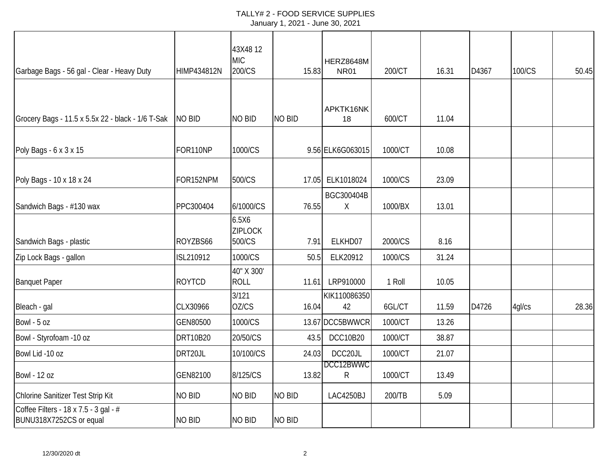#### TALLY# 2 - FOOD SERVICE SUPPLIES January 1, 2021 - June 30, 2021

| <b>HIMP434812N</b> | 43X4812<br><b>MIC</b><br>200/CS   |               | HERZ8648M<br><b>NR01</b> | 200/CT                                                                                                                          | 16.31                           | D4367 | 100/CS | 50.45 |
|--------------------|-----------------------------------|---------------|--------------------------|---------------------------------------------------------------------------------------------------------------------------------|---------------------------------|-------|--------|-------|
|                    |                                   |               |                          |                                                                                                                                 |                                 |       |        |       |
| <b>NO BID</b>      | <b>NO BID</b>                     | <b>NO BID</b> | APKTK16NK<br>18          | 600/CT                                                                                                                          | 11.04                           |       |        |       |
| FOR110NP           | 1000/CS                           |               |                          | 1000/CT                                                                                                                         | 10.08                           |       |        |       |
| FOR152NPM          | 500/CS                            |               |                          | 1000/CS                                                                                                                         | 23.09                           |       |        |       |
| PPC300404          | 6/1000/CS                         |               | BGC300404B<br>$\sf X$    | 1000/BX                                                                                                                         | 13.01                           |       |        |       |
| ROYZBS66           | 6.5X6<br><b>ZIPLOCK</b><br>500/CS |               | ELKHD07                  | 2000/CS                                                                                                                         | 8.16                            |       |        |       |
| ISL210912          | 1000/CS                           |               | ELK20912                 | 1000/CS                                                                                                                         | 31.24                           |       |        |       |
| <b>ROYTCD</b>      | 40" X 300'<br><b>ROLL</b>         |               | LRP910000                | 1 Roll                                                                                                                          | 10.05                           |       |        |       |
| CLX30966           | OZ/CS                             |               | 42                       | 6GL/CT                                                                                                                          | 11.59                           | D4726 | 4gl/cs | 28.36 |
| GEN80500           | 1000/CS                           |               |                          | 1000/CT                                                                                                                         | 13.26                           |       |        |       |
| DRT10B20           | 20/50/CS                          |               | <b>DCC10B20</b>          | 1000/CT                                                                                                                         | 38.87                           |       |        |       |
| DRT20JL            | 10/100/CS                         |               | DCC20JL                  | 1000/CT                                                                                                                         | 21.07                           |       |        |       |
| GEN82100           | 8/125/CS                          |               | R                        | 1000/CT                                                                                                                         | 13.49                           |       |        |       |
| <b>NO BID</b>      | NO BID                            | <b>NO BID</b> | LAC4250BJ                | 200/TB                                                                                                                          | 5.09                            |       |        |       |
| <b>NO BID</b>      | <b>NO BID</b>                     | <b>NO BID</b> |                          |                                                                                                                                 |                                 |       |        |       |
|                    |                                   | 3/121         |                          | 15.83<br>9.56 ELK6G063015<br>17.05 ELK1018024<br>76.55<br>7.91<br>50.5<br>11.61<br>16.04<br>43.5<br>24.03<br>DCC12BWWC<br>13.82 | KIK110086350<br>13.67 DCC5BWWCR |       |        |       |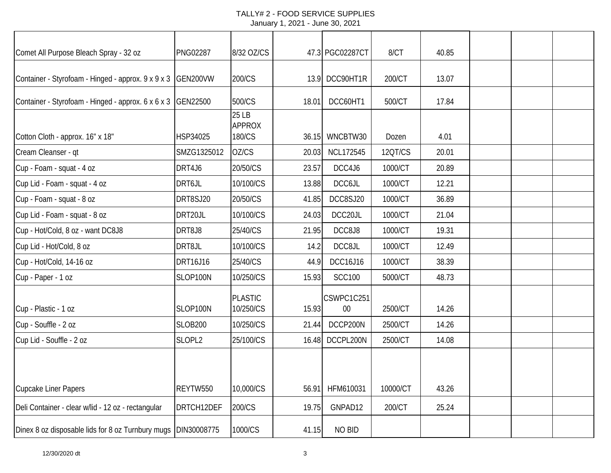#### TALLY# 2 - FOOD SERVICE SUPPLIES January 1, 2021 - June 30, 2021

| Comet All Purpose Bleach Spray - 32 oz             | <b>PNG02287</b> | 8/32 OZ/CS                       |       | 47.3 PGC02287CT  | 8/CT     | 40.85 |  |  |
|----------------------------------------------------|-----------------|----------------------------------|-------|------------------|----------|-------|--|--|
| Container - Styrofoam - Hinged - approx. 9 x 9 x 3 | GEN200VW        | 200/CS                           |       | 13.9 DCC90HT1R   | 200/CT   | 13.07 |  |  |
| Container - Styrofoam - Hinged - approx. 6 x 6 x 3 | GEN22500        | 500/CS                           | 18.01 | DCC60HT1         | 500/CT   | 17.84 |  |  |
| Cotton Cloth - approx. 16" x 18"                   | HSP34025        | 25 LB<br><b>APPROX</b><br>180/CS | 36.15 | WNCBTW30         | Dozen    | 4.01  |  |  |
| Cream Cleanser - qt                                | SMZG1325012     | OZ/CS                            | 20.03 | <b>NCL172545</b> | 12QT/CS  | 20.01 |  |  |
| Cup - Foam - squat - 4 oz                          | DRT4J6          | 20/50/CS                         | 23.57 | DCC4J6           | 1000/CT  | 20.89 |  |  |
| Cup Lid - Foam - squat - 4 oz                      | DRT6JL          | 10/100/CS                        | 13.88 | DCC6JL           | 1000/CT  | 12.21 |  |  |
| Cup - Foam - squat - 8 oz                          | DRT8SJ20        | 20/50/CS                         | 41.85 | DCC8SJ20         | 1000/CT  | 36.89 |  |  |
| Cup Lid - Foam - squat - 8 oz                      | DRT20JL         | 10/100/CS                        | 24.03 | DCC20JL          | 1000/CT  | 21.04 |  |  |
| Cup - Hot/Cold, 8 oz - want DC8J8                  | DRT8J8          | 25/40/CS                         | 21.95 | DCC8J8           | 1000/CT  | 19.31 |  |  |
| Cup Lid - Hot/Cold, 8 oz                           | DRT8JL          | 10/100/CS                        | 14.2  | DCC8JL           | 1000/CT  | 12.49 |  |  |
| Cup - Hot/Cold, 14-16 oz                           | DRT16J16        | 25/40/CS                         | 44.9  | DCC16J16         | 1000/CT  | 38.39 |  |  |
| Cup - Paper - 1 oz                                 | SLOP100N        | 10/250/CS                        | 15.93 | <b>SCC100</b>    | 5000/CT  | 48.73 |  |  |
| Cup - Plastic - 1 oz                               | SLOP100N        | <b>PLASTIC</b><br>10/250/CS      | 15.93 | CSWPC1C251<br>00 | 2500/CT  | 14.26 |  |  |
| Cup - Souffle - 2 oz                               | <b>SLOB200</b>  | 10/250/CS                        | 21.44 | DCCP200N         | 2500/CT  | 14.26 |  |  |
| Cup Lid - Souffle - 2 oz                           | SLOPL2          | 25/100/CS                        |       | 16.48 DCCPL200N  | 2500/CT  | 14.08 |  |  |
|                                                    |                 |                                  |       |                  |          |       |  |  |
| <b>Cupcake Liner Papers</b>                        | REYTW550        | 10,000/CS                        | 56.91 | HFM610031        | 10000/CT | 43.26 |  |  |
| Deli Container - clear w/lid - 12 oz - rectangular | DRTCH12DEF      | 200/CS                           | 19.75 | GNPAD12          | 200/CT   | 25.24 |  |  |
| Dinex 8 oz disposable lids for 8 oz Turnbury mugs  | DIN30008775     | 1000/CS                          | 41.15 | NO BID           |          |       |  |  |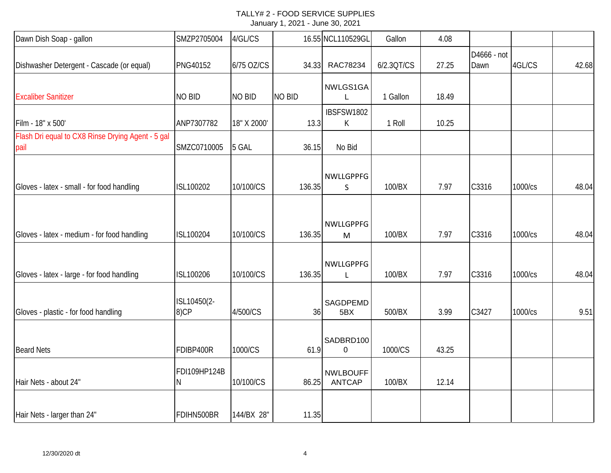| Dawn Dish Soap - gallon                                   | SMZP2705004         | 4/GL/CS       |               | 16.55 NCL110529GL                | Gallon     | 4.08  |                     |         |       |
|-----------------------------------------------------------|---------------------|---------------|---------------|----------------------------------|------------|-------|---------------------|---------|-------|
| Dishwasher Detergent - Cascade (or equal)                 | PNG40152            | 6/75 OZ/CS    | 34.33         | RAC78234                         | 6/2.3QT/CS | 27.25 | D4666 - not<br>Dawn | 4GL/CS  | 42.68 |
| <b>Excaliber Sanitizer</b>                                | <b>NO BID</b>       | <b>NO BID</b> | <b>NO BID</b> | NWLGS1GA                         | 1 Gallon   | 18.49 |                     |         |       |
| Film - 18" x 500'                                         | ANP7307782          | 18" X 2000'   | 13.3          | IBSFSW1802<br>К                  | 1 Roll     | 10.25 |                     |         |       |
| Flash Dri equal to CX8 Rinse Drying Agent - 5 gal<br>pail | SMZC0710005         | 5 GAL         | 36.15         | No Bid                           |            |       |                     |         |       |
| Gloves - latex - small - for food handling                | ISL100202           | 10/100/CS     | 136.35        | NWLLGPPFG<br>S                   | 100/BX     | 7.97  | C3316               | 1000/cs | 48.04 |
|                                                           |                     |               |               | <b>NWLLGPPFG</b>                 |            |       |                     |         | 48.04 |
| Gloves - latex - medium - for food handling               | ISL100204           | 10/100/CS     | 136.35        | M                                | 100/BX     | 7.97  | C3316               | 1000/cs |       |
| Gloves - latex - large - for food handling                | ISL100206           | 10/100/CS     | 136.35        | <b>NWLLGPPFG</b><br>L            | 100/BX     | 7.97  | C3316               | 1000/cs | 48.04 |
| Gloves - plastic - for food handling                      | ISL10450(2-<br>8)CP | 4/500/CS      | 36            | SAGDPEMD<br>5BX                  | 500/BX     | 3.99  | C3427               | 1000/cs | 9.51  |
| <b>Beard Nets</b>                                         | FDIBP400R           | 1000/CS       | 61.9          | SADBRD100<br>$\mathbf 0$         | 1000/CS    | 43.25 |                     |         |       |
| Hair Nets - about 24"                                     | FDI109HP124B<br>Ν   | 10/100/CS     | 86.25         | <b>NWLBOUFF</b><br><b>ANTCAP</b> | 100/BX     | 12.14 |                     |         |       |
| Hair Nets - larger than 24"                               | FDIHN500BR          | 144/BX 28"    | 11.35         |                                  |            |       |                     |         |       |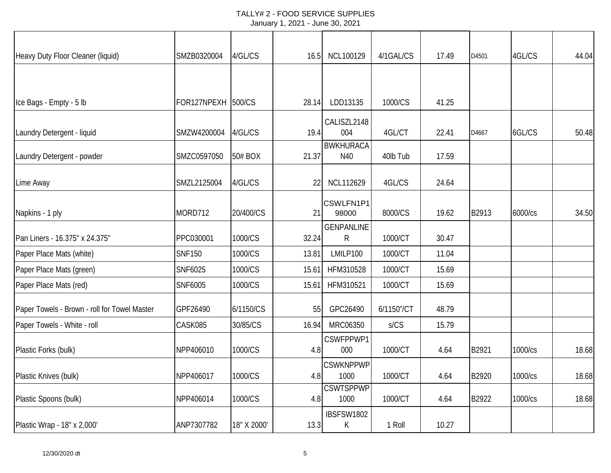| Heavy Duty Floor Cleaner (liquid)            | SMZB0320004        | 4/GL/CS     | 16.5  | <b>NCL100129</b>         | 4/1GAL/CS  | 17.49 | D4501 | 4GL/CS  | 44.04 |
|----------------------------------------------|--------------------|-------------|-------|--------------------------|------------|-------|-------|---------|-------|
|                                              |                    |             |       |                          |            |       |       |         |       |
| Ice Bags - Empty - 5 lb                      | FOR127NPEXH 500/CS |             | 28.14 | LDD13135                 | 1000/CS    | 41.25 |       |         |       |
| Laundry Detergent - liquid                   | SMZW4200004        | 4/GL/CS     | 19.4  | CALISZL2148<br>004       | 4GL/CT     | 22.41 | D4667 | 6GL/CS  | 50.48 |
| Laundry Detergent - powder                   | SMZC0597050        | 50# BOX     | 21.37 | <b>BWKHURACA</b><br>N40  | 40lb Tub   | 17.59 |       |         |       |
| Lime Away                                    | SMZL2125004        | 4/GL/CS     | 22    | NCL112629                | 4GL/CS     | 24.64 |       |         |       |
| Napkins - 1 ply                              | MORD712            | 20/400/CS   | 21    | CSWLFN1P1<br>98000       | 8000/CS    | 19.62 | B2913 | 6000/cs | 34.50 |
| Pan Liners - 16.375" x 24.375"               | PPC030001          | 1000/CS     | 32.24 | <b>GENPANLINE</b><br>R   | 1000/CT    | 30.47 |       |         |       |
| Paper Place Mats (white)                     | <b>SNF150</b>      | 1000/CS     | 13.81 | LMILP100                 | 1000/CT    | 11.04 |       |         |       |
| Paper Place Mats (green)                     | SNF6025            | 1000/CS     | 15.61 | HFM310528                | 1000/CT    | 15.69 |       |         |       |
| Paper Place Mats (red)                       | SNF6005            | 1000/CS     | 15.61 | HFM310521                | 1000/CT    | 15.69 |       |         |       |
| Paper Towels - Brown - roll for Towel Master | GPF26490           | 6/1150/CS   | 55    | GPC26490                 | 6/1150"/CT | 48.79 |       |         |       |
| Paper Towels - White - roll                  | CASK085            | 30/85/CS    | 16.94 | MRC06350                 | S/CS       | 15.79 |       |         |       |
| Plastic Forks (bulk)                         | NPP406010          | 1000/CS     | 4.8   | CSWFPPWP1<br>000         | 1000/CT    | 4.64  | B2921 | 1000/cs | 18.68 |
| Plastic Knives (bulk)                        | NPP406017          | 1000/CS     | 4.8   | <b>CSWKNPPWP</b><br>1000 | 1000/CT    | 4.64  | B2920 | 1000/cs | 18.68 |
| Plastic Spoons (bulk)                        | NPP406014          | 1000/CS     | 4.8   | <b>CSWTSPPWP</b><br>1000 | 1000/CT    | 4.64  | B2922 | 1000/cs | 18.68 |
| Plastic Wrap - 18" x 2,000'                  | ANP7307782         | 18" X 2000' | 13.3  | IBSFSW1802<br>К          | 1 Roll     | 10.27 |       |         |       |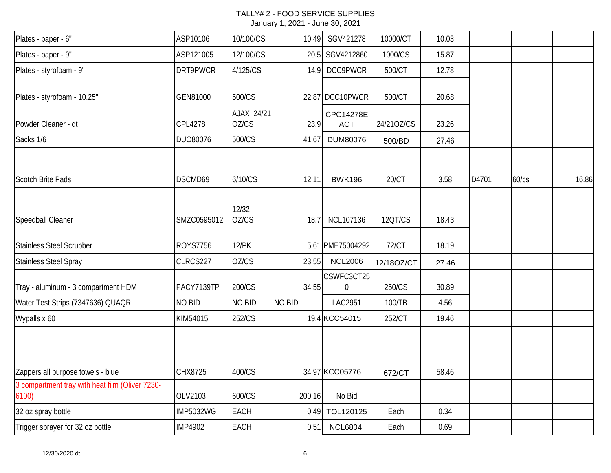#### TALLY# 2 - FOOD SERVICE SUPPLIES January 1, 2021 - June 30, 2021

| Plates - paper - 6"                                      | ASP10106         | 10/100/CS           | 10.49  | SGV421278               | 10000/CT   | 10.03 |       |       |       |
|----------------------------------------------------------|------------------|---------------------|--------|-------------------------|------------|-------|-------|-------|-------|
| Plates - paper - 9"                                      | ASP121005        | 12/100/CS           |        | 20.5 SGV4212860         | 1000/CS    | 15.87 |       |       |       |
| Plates - styrofoam - 9"                                  | DRT9PWCR         | 4/125/CS            | 14.9   | DCC9PWCR                | 500/CT     | 12.78 |       |       |       |
| Plates - styrofoam - 10.25"                              | GEN81000         | 500/CS              |        | 22.87 DCC10PWCR         | 500/CT     | 20.68 |       |       |       |
| Powder Cleaner - qt                                      | <b>CPL4278</b>   | AJAX 24/21<br>OZ/CS | 23.9   | CPC14278E<br><b>ACT</b> | 24/210Z/CS | 23.26 |       |       |       |
| Sacks 1/6                                                | DUO80076         | 500/CS              | 41.67  | DUM80076                | 500/BD     | 27.46 |       |       |       |
| <b>Scotch Brite Pads</b>                                 | DSCMD69          | 6/10/CS             | 12.11  | <b>BWK196</b>           | 20/CT      | 3.58  | D4701 | 60/cs | 16.86 |
| Speedball Cleaner                                        | SMZC0595012      | 12/32<br>OZ/CS      | 18.7   | NCL107136               | 120T/CS    | 18.43 |       |       |       |
| <b>Stainless Steel Scrubber</b>                          | <b>ROYS7756</b>  | <b>12/PK</b>        |        | 5.61 PME75004292        | 72/CT      | 18.19 |       |       |       |
| <b>Stainless Steel Spray</b>                             | CLRCS227         | OZ/CS               | 23.55  | <b>NCL2006</b>          | 12/18OZ/CT | 27.46 |       |       |       |
| Tray - aluminum - 3 compartment HDM                      | PACY7139TP       | 200/CS              | 34.55  | CSWFC3CT25<br>0         | 250/CS     | 30.89 |       |       |       |
| Water Test Strips (7347636) QUAQR                        | NO BID           | NO BID              | NO BID | LAC2951                 | 100/TB     | 4.56  |       |       |       |
| Wypalls x 60                                             | KIM54015         | 252/CS              |        | 19.4 KCC54015           | 252/CT     | 19.46 |       |       |       |
|                                                          |                  |                     |        |                         |            |       |       |       |       |
| Zappers all purpose towels - blue                        | CHX8725          | 400/CS              |        | 34.97 KCC05776          | 672/CT     | 58.46 |       |       |       |
| 3 compartment tray with heat film (Oliver 7230-<br>6100) | OLV2103          | 600/CS              | 200.16 | No Bid                  |            |       |       |       |       |
| 32 oz spray bottle                                       | <b>IMP5032WG</b> | <b>EACH</b>         | 0.49   | TOL120125               | Each       | 0.34  |       |       |       |
| Trigger sprayer for 32 oz bottle                         | <b>IMP4902</b>   | <b>EACH</b>         | 0.51   | <b>NCL6804</b>          | Each       | 0.69  |       |       |       |